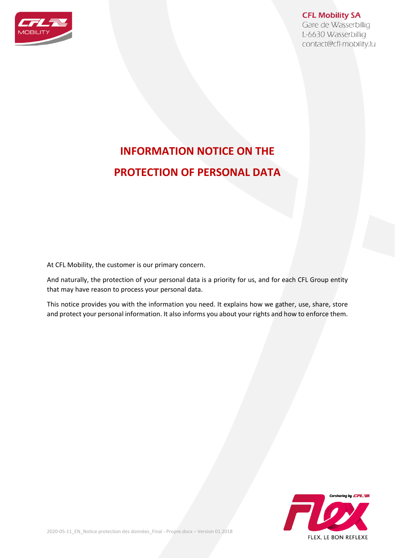

## **CFL Mobility SA**

Gare de Wasserbillig L-6630 Wasserbillig contact@cfl-mobility.lu

# **INFORMATION NOTICE ON THE PROTECTION OF PERSONAL DATA**

At CFL Mobility, the customer is our primary concern.

And naturally, the protection of your personal data is a priority for us, and for each CFL Group entity that may have reason to process your personal data.

This notice provides you with the information you need. It explains how we gather, use, share, store and protect your personal information. It also informs you about your rights and how to enforce them.

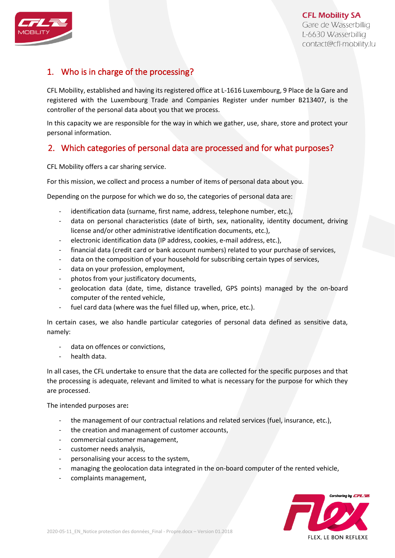

# 1. Who is in charge of the processing?

CFL Mobility, established and having its registered office at L-1616 Luxembourg, 9 Place de la Gare and registered with the Luxembourg Trade and Companies Register under number B213407, is the controller of the personal data about you that we process.

In this capacity we are responsible for the way in which we gather, use, share, store and protect your personal information.

# 2. Which categories of personal data are processed and for what purposes?

CFL Mobility offers a car sharing service.

For this mission, we collect and process a number of items of personal data about you.

Depending on the purpose for which we do so, the categories of personal data are:

- identification data (surname, first name, address, telephone number, etc.),
- data on personal characteristics (date of birth, sex, nationality, identity document, driving license and/or other administrative identification documents, etc.),
- electronic identification data (IP address, cookies, e-mail address, etc.),
- financial data (credit card or bank account numbers) related to your purchase of services,
- data on the composition of your household for subscribing certain types of services,
- data on your profession, employment,
- photos from your justificatory documents,
- geolocation data (date, time, distance travelled, GPS points) managed by the on-board computer of the rented vehicle,
- fuel card data (where was the fuel filled up, when, price, etc.).

In certain cases, we also handle particular categories of personal data defined as sensitive data, namely:

- data on offences or convictions,
- health data.

In all cases, the CFL undertake to ensure that the data are collected for the specific purposes and that the processing is adequate, relevant and limited to what is necessary for the purpose for which they are processed.

The intended purposes are**:** 

- the management of our contractual relations and related services (fuel, insurance, etc.),
- the creation and management of customer accounts,
- commercial customer management,
- customer needs analysis,
- personalising your access to the system,
- managing the geolocation data integrated in the on-board computer of the rented vehicle,
- complaints management,

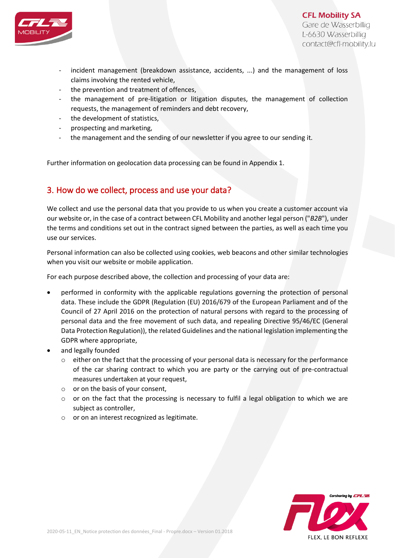

**CFL Mobility SA** Gare de Wasserbillig L-6630 Wasserbillig contact@cfl-mobility.lu

- incident management (breakdown assistance, accidents, ...) and the management of loss claims involving the rented vehicle,
- the prevention and treatment of offences,
- the management of pre-litigation or litigation disputes, the management of collection requests, the management of reminders and debt recovery,
- the development of statistics,
- prospecting and marketing,
- the management and the sending of our newsletter if you agree to our sending it.

Further information on geolocation data processing can be found in Appendix 1.

#### 3. How do we collect, process and use your data?

We collect and use the personal data that you provide to us when you create a customer account via our website or, in the case of a contract between CFL Mobility and another legal person ("*B2B*"), under the terms and conditions set out in the contract signed between the parties, as well as each time you use our services.

Personal information can also be collected using cookies, web beacons and other similar technologies when you visit our website or mobile application.

For each purpose described above, the collection and processing of your data are:

- performed in conformity with the applicable regulations governing the protection of personal data. These include the GDPR (Regulation (EU) 2016/679 of the European Parliament and of the Council of 27 April 2016 on the protection of natural persons with regard to the processing of personal data and the free movement of such data, and repealing Directive 95/46/EC (General Data Protection Regulation)), the related Guidelines and the national legislation implementing the GDPR where appropriate,
- and legally founded
	- $\circ$  either on the fact that the processing of your personal data is necessary for the performance of the car sharing contract to which you are party or the carrying out of pre-contractual measures undertaken at your request,
	- o or on the basis of your consent,
	- $\circ$  or on the fact that the processing is necessary to fulfil a legal obligation to which we are subject as controller,
	- o or on an interest recognized as legitimate.

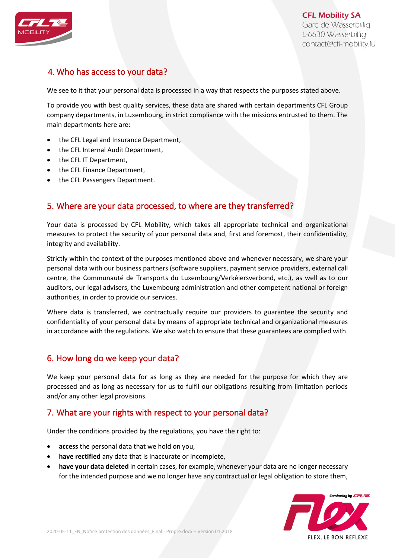

# 4. Who has access to your data?

We see to it that your personal data is processed in a way that respects the purposes stated above.

To provide you with best quality services, these data are shared with certain departments CFL Group company departments, in Luxembourg, in strict compliance with the missions entrusted to them. The main departments here are:

- the CFL Legal and Insurance Department,
- the CFL Internal Audit Department,
- the CFL IT Department,
- the CFL Finance Department,
- the CFL Passengers Department.

## 5. Where are your data processed, to where are they transferred?

Your data is processed by CFL Mobility, which takes all appropriate technical and organizational measures to protect the security of your personal data and, first and foremost, their confidentiality, integrity and availability.

Strictly within the context of the purposes mentioned above and whenever necessary, we share your personal data with our business partners (software suppliers, payment service providers, external call centre, the Communauté de Transports du Luxembourg/Verkéiersverbond, etc.), as well as to our auditors, our legal advisers, the Luxembourg administration and other competent national or foreign authorities, in order to provide our services.

Where data is transferred, we contractually require our providers to guarantee the security and confidentiality of your personal data by means of appropriate technical and organizational measures in accordance with the regulations. We also watch to ensure that these guarantees are complied with.

#### 6. How long do we keep your data?

We keep your personal data for as long as they are needed for the purpose for which they are processed and as long as necessary for us to fulfil our obligations resulting from limitation periods and/or any other legal provisions.

#### 7. What are your rights with respect to your personal data?

Under the conditions provided by the regulations, you have the right to:

- **access** the personal data that we hold on you,
- **have rectified** any data that is inaccurate or incomplete,
- **have your data deleted** in certain cases, for example, whenever your data are no longer necessary for the intended purpose and we no longer have any contractual or legal obligation to store them,

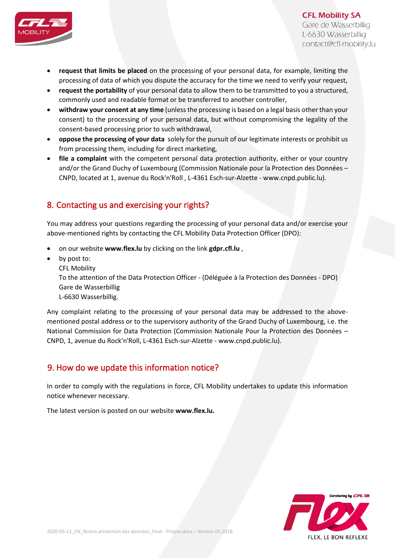

- **request that limits be placed** on the processing of your personal data, for example, limiting the processing of data of which you dispute the accuracy for the time we need to verify your request,
- **request the portability** of your personal data to allow them to be transmitted to you a structured, commonly used and readable format or be transferred to another controller,
- **withdraw your consent at any time** (unless the processing is based on a legal basis other than your consent) to the processing of your personal data, but without compromising the legality of the consent-based processing prior to such withdrawal,
- **oppose the processing of your data** solely for the pursuit of our legitimate interests or prohibit us from processing them, including for direct marketing,
- **file a complaint** with the competent personal data protection authority, either or your country and/or the Grand Duchy of Luxembourg (Commission Nationale pour la Protection des Données – CNPD, located at 1, avenue du Rock'n'Roll , L-4361 Esch-sur-Alzette - www.cnpd.public.lu).

# 8. Contacting us and exercising your rights?

You may address your questions regarding the processing of your personal data and/or exercise your above-mentioned rights by contacting the CFL Mobility Data Protection Officer (DPO):

- on our website **[www.flex.lu](http://www.flex.lu/)** by clicking on the link **[gdpr.cfl.lu](file:///C:/Users/SABEAli62/AppData/Local/Microsoft/Windows/Temporary%20Internet%20Files/Content.Outlook/G6K7RWTJ/gdpr.cfl.lu)** ,
- by post to:
	- CFL Mobility

To the attention of the Data Protection Officer - (Déléguée à la Protection des Données - DPO) Gare de Wasserbillig

L-6630 Wasserbillig.

Any complaint relating to the processing of your personal data may be addressed to the abovementioned postal address or to the supervisory authority of the Grand Duchy of Luxembourg, i.e. the National Commission for Data Protection (Commission Nationale Pour la Protection des Données – CNPD, 1, avenue du Rock'n'Roll, L-4361 Esch-sur-Alzette - www.cnpd.public.lu).

# 9. How do we update this information notice?

In order to comply with the regulations in force, CFL Mobility undertakes to update this information notice whenever necessary.

The latest version is posted on our website **[www.flex.lu.](file:///C:/Users/SABEAli62/AppData/Local/Microsoft/Windows/Temporary%20Internet%20Files/Content.Outlook/G6K7RWTJ/www.flex.lu)**